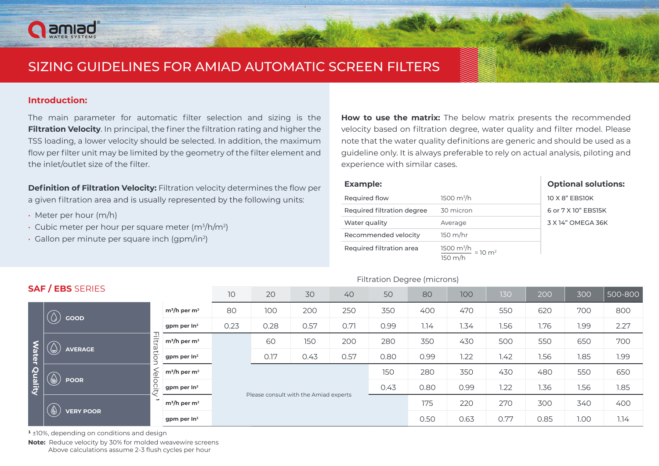# amiad

# SIZING GUIDELINES FOR AMIAD AUTOMATIC SCREEN FILTERS

## **:Introduction**

The main parameter for automatic filter selection and sizing is the **Filtration Velocity**. In principal, the finer the filtration rating and higher the TSS loading, a lower velocity should be selected. In addition, the maximum flow per filter unit may be limited by the geometry of the filter element and the inlet/outlet size of the filter.

**Definition of Filtration Velocity:** Filtration velocity determines the flow per a given filtration area and is usually represented by the following units:

- $\cdot$  Meter per hour (m/h)
- Cubic meter per hour per square meter (m $\frac{3}{h}$ /m $\frac{2}{h}$
- $\cdot$  Gallon per minute per square inch (gpm/in<sup>2</sup>)

How to use the matrix: The below matrix presents the recommended velocity based on filtration degree, water quality and filter model. Please note that the water quality definitions are generic and should be used as a guideline only. It is always preferable to rely on actual analysis, piloting and experience with similar cases.

| <b>Example:</b>            |                                                                             | <b>Optional solutions:</b> |
|----------------------------|-----------------------------------------------------------------------------|----------------------------|
| Required flow              | 1500 $m^3/h$                                                                | 10 X 8" EBS10K             |
| Required filtration degree | 30 micron                                                                   | 6 or 7 X 10" EBS15K        |
| Water quality              | Average                                                                     | 3 X 14" OMEGA 36K          |
| Recommended velocity       | 150 m/hr                                                                    |                            |
| Required filtration area   | $\frac{1500 \text{ m}^3/\text{h}}{150 \text{ m}/\text{h}} = 10 \text{ m}^2$ |                            |

### Filtration Degree (microns)

| <b>SAF / EBS</b> SERIES |                                                                              |                         | 10   | 20                                    | 30   | 40   | 50   | 80   | 100  | 130  | 200  | 300  | 500-800 |
|-------------------------|------------------------------------------------------------------------------|-------------------------|------|---------------------------------------|------|------|------|------|------|------|------|------|---------|
| Water Quality           | GOOD<br>$\cup$                                                               | $m^3/h$ per $m^2$       | 80   | 100                                   | 200  | 250  | 350  | 400  | 470  | 550  | 620  | 700  | 800     |
|                         |                                                                              | gpm per $ln2$           | 0.23 | 0.28                                  | 0.57 | 0.71 | 0.99 | 1.14 | 1.34 | 1.56 | 1.76 | 1.99 | 2.27    |
|                         | ≓<br>$\circledcirc$<br>atio<br><b>AVERAGE</b>                                | $m^3/h$ per $m^2$       |      | 60                                    | 150  | 200  | 280  | 350  | 430  | 500  | 550  | 650  | 700     |
|                         |                                                                              | gpm per $In2$           |      | 0.17                                  | 0.43 | 0.57 | 0.80 | 0.99 | 1.22 | 1.42 | 1.56 | 1.85 | 1.99    |
|                         | $\frac{1}{2}$<br>$\bigcirc$<br><b>POOR</b><br>으.<br>$\overline{\phantom{0}}$ | $m^3/h$ per $m^2$       |      |                                       |      |      | 150  | 280  | 350  | 430  | 480  | 550  | 650     |
|                         |                                                                              | gpm per In <sup>2</sup> |      |                                       |      |      | 0.43 | 0.80 | 0.99 | 1.22 | 1.36 | 1.56 | 1.85    |
|                         | <b>VERY POOR</b>                                                             | $m^3/h$ per $m^2$       |      | Please consult with the Amiad experts |      |      |      | 175  | 220  | 270  | 300  | 340  | 400     |
|                         |                                                                              | gpm per $In2$           |      |                                       |      |      |      | 0.50 | 0.63 | 0.77 | 0.85 | 1.00 | 1.14    |
|                         | <sup>1</sup> ±10%, depending on conditions and design                        |                         |      |                                       |      |      |      |      |      |      |      |      |         |

Note: Reduce velocity by 30% for molded weavewire screens Above calculations assume 2-3 flush cycles per hour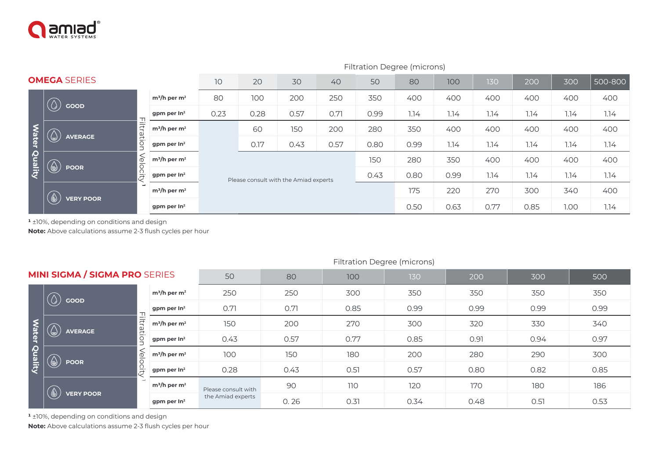

|               |                                                                                       |                   | Filtration Degree (microns) |                                       |      |      |      |      |      |      |      |         |      |
|---------------|---------------------------------------------------------------------------------------|-------------------|-----------------------------|---------------------------------------|------|------|------|------|------|------|------|---------|------|
|               | <b>OMEGA SERIES</b>                                                                   | 10                | 20                          | 30                                    | 40   | 50   | 80   | 100  | 130  | 200  | 300  | 500-800 |      |
|               | GOOD<br>$\omega$                                                                      | $m^3/h$ per $m^2$ | 80                          | 100                                   | 200  | 250  | 350  | 400  | 400  | 400  | 400  | 400     | 400  |
|               |                                                                                       | gpm per $In2$     | 0.23                        | 0.28                                  | 0.57 | 0.71 | 0.99 | 1.14 | 1.14 | 1.14 | 1.14 | 1.14    | 1.14 |
|               | iltration<br><b>AVERAGE</b><br>J)                                                     | $m^3/h$ per $m^2$ |                             | 60                                    | 150  | 200  | 280  | 350  | 400  | 400  | 400  | 400     | 400  |
| Water Quality |                                                                                       | gpm per $ln2$     |                             | 0.17                                  | 0.43 | 0.57 | 0.80 | 0.99 | 1.14 | 1.14 | 1.14 | 1.14    | 1.14 |
|               | Velocity<br>◉<br><b>POOR</b>                                                          | $m^3/h$ per $m^2$ |                             |                                       |      |      |      | 280  | 350  | 400  | 400  | 400     | 400  |
|               |                                                                                       | gpm per $ln2$     |                             | Please consult with the Amiad experts |      |      | 0.43 | 0.80 | 0.99 | 1.14 | 1.14 | 1.14    | 1.14 |
|               | $\left(\begin{smallmatrix}\bigoplus \cr \end{smallmatrix}\right)$<br><b>VERY POOR</b> | $m^3/h$ per $m^2$ |                             |                                       |      |      |      |      | 220  | 270  | 300  | 340     | 400  |
|               |                                                                                       | gpm per $In2$     |                             |                                       |      |      |      |      | 0.63 | 0.77 | 0.85 | 1.00    | 1.14 |

|               | Filtration<br>$\bigcirc$<br><b>AVERAGE</b>                                                      |  |                            |                     |      |                                       |      |      |      |      |      |      |      |                         |      |  |      |      |  |      |  |      |      |  |
|---------------|-------------------------------------------------------------------------------------------------|--|----------------------------|---------------------|------|---------------------------------------|------|------|------|------|------|------|------|-------------------------|------|--|------|------|--|------|--|------|------|--|
| Water Quality |                                                                                                 |  | $m^3/h$ per $m^2$          |                     | 60   | 150                                   | 200  | 280  | 350  | 400  | 400  | 400  | 400  | 400                     |      |  |      |      |  |      |  |      |      |  |
|               |                                                                                                 |  | gpm per $In2$              |                     | 0.17 | 0.43                                  | 0.57 | 0.80 | 0.99 | 1.14 | 1.14 | 1.14 | 1.14 | 1.14                    |      |  |      |      |  |      |  |      |      |  |
|               | Velocity<br>⊜<br><b>POOR</b>                                                                    |  | $m^3/h$ per $m^2$          |                     | 150  |                                       |      |      | 280  | 350  | 400  | 400  | 400  | 400                     |      |  |      |      |  |      |  |      |      |  |
|               |                                                                                                 |  | gpm per In <sup>2</sup>    |                     |      | Please consult with the Amiad experts |      | 0.43 | 0.80 | 0.99 | 1.14 | 1.14 | 1.14 | 1.14                    |      |  |      |      |  |      |  |      |      |  |
|               |                                                                                                 |  | $m^3/h$ per $m^2$          |                     |      |                                       |      |      | 175  | 220  | 270  | 300  | 340  | 400                     |      |  |      |      |  |      |  |      |      |  |
|               | <b>VERY POOR</b>                                                                                |  | gpm per $In2$              |                     |      |                                       |      |      |      | 0.63 | 0.77 | 0.85 | 1.00 | 1.14                    |      |  |      |      |  |      |  |      |      |  |
|               | Note: Above calculations assume 2-3 flush cycles per hour<br><b>Filtration Degree (microns)</b> |  |                            |                     |      |                                       |      |      |      |      |      |      |      |                         |      |  |      |      |  |      |  |      |      |  |
|               | <b>MINI SIGMA / SIGMA PRO SERIES</b>                                                            |  |                            | 50                  |      | 80                                    | 100  |      | 130  |      | 200  | 300  |      | 500                     |      |  |      |      |  |      |  |      |      |  |
|               | GOOD                                                                                            |  | $m^3/h$ per m <sup>2</sup> | 250                 |      | 250                                   | 300  |      | 350  |      | 350  | 350  |      | 350                     |      |  |      |      |  |      |  |      |      |  |
|               |                                                                                                 |  | gpm per $In2$              | 0.71                |      | 0.71                                  | 0.85 |      | 0.99 |      | 0.99 | 0.99 |      | 0.99                    |      |  |      |      |  |      |  |      |      |  |
|               | <b>Filtration</b><br>$\bigcirc$<br><b>AVERAGE</b>                                               |  | $m^3/h$ per $m^2$          | 150                 |      | 200                                   | 270  |      | 300  |      | 320  | 330  |      | 340                     |      |  |      |      |  |      |  |      |      |  |
|               |                                                                                                 |  |                            |                     |      |                                       |      |      |      |      |      |      |      | gpm per In <sup>2</sup> | 0.43 |  | 0.57 | 0.77 |  | 0.85 |  | 0.91 | 0.94 |  |
| Water Quality | Velocity<br>⊜<br><b>POOR</b>                                                                    |  | $m^3/h$ per m <sup>2</sup> | 100                 |      | 150                                   | 180  |      | 200  |      | 280  | 290  |      | 300                     |      |  |      |      |  |      |  |      |      |  |
|               |                                                                                                 |  | gpm per In <sup>2</sup>    | 0.28                |      | 0.43                                  | 0.51 |      | 0.57 |      | 0.80 | 0.82 |      | 0.85                    |      |  |      |      |  |      |  |      |      |  |
|               | <b>VERY POOR</b>                                                                                |  | $m^3/h$ per $m^2$          | Please consult with |      | 90                                    | 110  |      | 120  |      | 170  | 180  |      | 186                     |      |  |      |      |  |      |  |      |      |  |
|               |                                                                                                 |  |                            | the Amiad experts   |      | 0.26                                  | 0.31 |      | 0.34 |      | 0.48 | 0.51 |      | 0.53                    |      |  |      |      |  |      |  |      |      |  |

#### Filtration Degree (microns)

<sup>1</sup> ±10%, depending on conditions and design

Note: Above calculations assume 2-3 flush cycles per hour